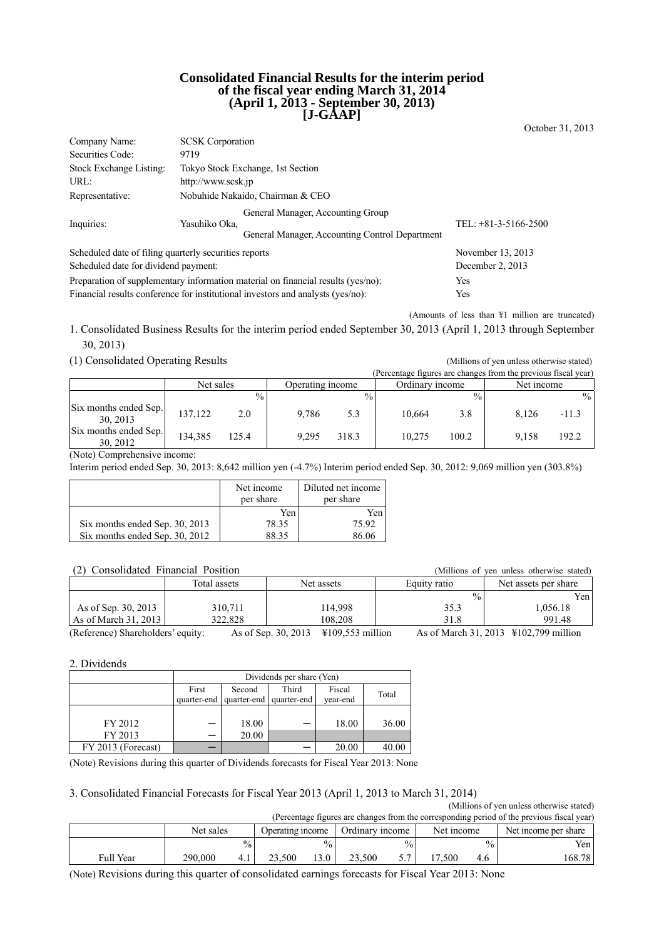#### **Consolidated Financial Results for the interim period of the fiscal year ending March 31, 2014 (April 1, 2013 - September 30, 2013) [J-GAAP]**

October 31, 2013

| Company Name:                                                                    | <b>SCSK</b> Corporation                                                                              |                        |
|----------------------------------------------------------------------------------|------------------------------------------------------------------------------------------------------|------------------------|
| Securities Code:                                                                 | 9719                                                                                                 |                        |
| Stock Exchange Listing:                                                          | Tokyo Stock Exchange, 1st Section                                                                    |                        |
| URL:                                                                             | http://www.scsk.jp                                                                                   |                        |
| Representative:                                                                  | Nobuhide Nakaido, Chairman & CEO                                                                     |                        |
| Inquiries:                                                                       | General Manager, Accounting Group<br>Yasuhiko Oka.<br>General Manager, Accounting Control Department | TEL: $+81-3-5166-2500$ |
| Scheduled date of filing quarterly securities reports                            | November 13, 2013                                                                                    |                        |
| Scheduled date for dividend payment:                                             | December 2, 2013                                                                                     |                        |
| Preparation of supplementary information material on financial results (yes/no): | Yes                                                                                                  |                        |
| Financial results conference for institutional investors and analysts (yes/no):  | Yes                                                                                                  |                        |

(Amounts of less than ¥1 million are truncated)

1. Consolidated Business Results for the interim period ended September 30, 2013 (April 1, 2013 through September 30, 2013)

(1) Consolidated Operating Results (Millions of yen unless otherwise stated)

|                                   |           |               |                  |               |                 |               | (Percentage figures are changes from the previous fiscal year) |         |
|-----------------------------------|-----------|---------------|------------------|---------------|-----------------|---------------|----------------------------------------------------------------|---------|
|                                   | Net sales |               | Operating income |               | Ordinary income |               | Net income                                                     |         |
|                                   |           | $\frac{0}{0}$ |                  | $\frac{0}{0}$ |                 | $\frac{0}{0}$ |                                                                | $\%$    |
| Six months ended Sep.<br>30, 2013 | 137,122   | 2.0           | 9.786            | 5.3           | 10.664          | 3.8           | 8.126                                                          | $-11.3$ |
| Six months ended Sep.<br>30.2012  | 134.385   | 125.4         | 9.295            | 318.3         | 10.275          | 100.2         | 9.158                                                          | 192.2   |

(Note) Comprehensive income:

Interim period ended Sep. 30, 2013: 8,642 million yen (-4.7%) Interim period ended Sep. 30, 2012: 9,069 million yen (303.8%)

|                                | Net income<br>per share | Diluted net income<br>per share |
|--------------------------------|-------------------------|---------------------------------|
|                                | Yen                     | Yen                             |
| Six months ended Sep. 30, 2013 | 78.35                   | 75.92                           |
| Six months ended Sep. 30, 2012 | 8835                    | 86.06                           |

## (2) Consolidated Financial Position (Millions of yen unless otherwise stated)

|                                   | Total assets | Net assets                                        | Equity ratio | Net assets per share                  |
|-----------------------------------|--------------|---------------------------------------------------|--------------|---------------------------------------|
|                                   |              |                                                   |              | $\frac{0}{0}$<br>Yen                  |
| As of Sep. 30, 2013               | 310.711      | 114.998                                           | 35.3         | 1.056.18                              |
| As of March $31, 2013$            | 322.828      | 108.208                                           | 31.8         | 991.48                                |
| (Reference) Shareholders' equity: |              | As of Sep. 30, 2013<br>$\text{\#}109,553$ million |              | As of March 31, 2013 ¥102,799 million |

2. Dividends

|                    |             | Dividends per share (Yen) |             |          |       |  |  |  |
|--------------------|-------------|---------------------------|-------------|----------|-------|--|--|--|
|                    | First       | Second                    | Third       | Fiscal   | Total |  |  |  |
|                    | quarter-end | quarter-end               | quarter-end | year-end |       |  |  |  |
|                    |             |                           |             |          |       |  |  |  |
| FY 2012            |             | 18.00                     |             | 18.00    | 36.00 |  |  |  |
| FY 2013            |             | 20.00                     |             |          |       |  |  |  |
| FY 2013 (Forecast) |             |                           |             | 20.00    | 40.00 |  |  |  |

(Note) Revisions during this quarter of Dividends forecasts for Fiscal Year 2013: None

3. Consolidated Financial Forecasts for Fiscal Year 2013 (April 1, 2013 to March 31, 2014) (Millions of yen unless otherwise stated)

|                                                                                            |           |                 |        |                                                   |        |               |      |               | (Trullions of you alliess otherwise stated) |
|--------------------------------------------------------------------------------------------|-----------|-----------------|--------|---------------------------------------------------|--------|---------------|------|---------------|---------------------------------------------|
| (Percentage figures are changes from the corresponding period of the previous fiscal year) |           |                 |        |                                                   |        |               |      |               |                                             |
|                                                                                            | Net sales |                 |        | Ordinary income<br>Net income<br>Operating income |        |               |      |               | Net income per share                        |
|                                                                                            |           | $\frac{0}{0}$ . |        | $^{0}/_{0}$                                       |        | $\frac{0}{0}$ |      | $^{0}/_{0}$ . | Yen.                                        |
| <b>Full Year</b>                                                                           | 290,000   | 4.1             | 23.500 | 3.0                                               | 23.500 | 5.7           | .500 | 4.6           | 168.78                                      |

(Note) Revisions during this quarter of consolidated earnings forecasts for Fiscal Year 2013: None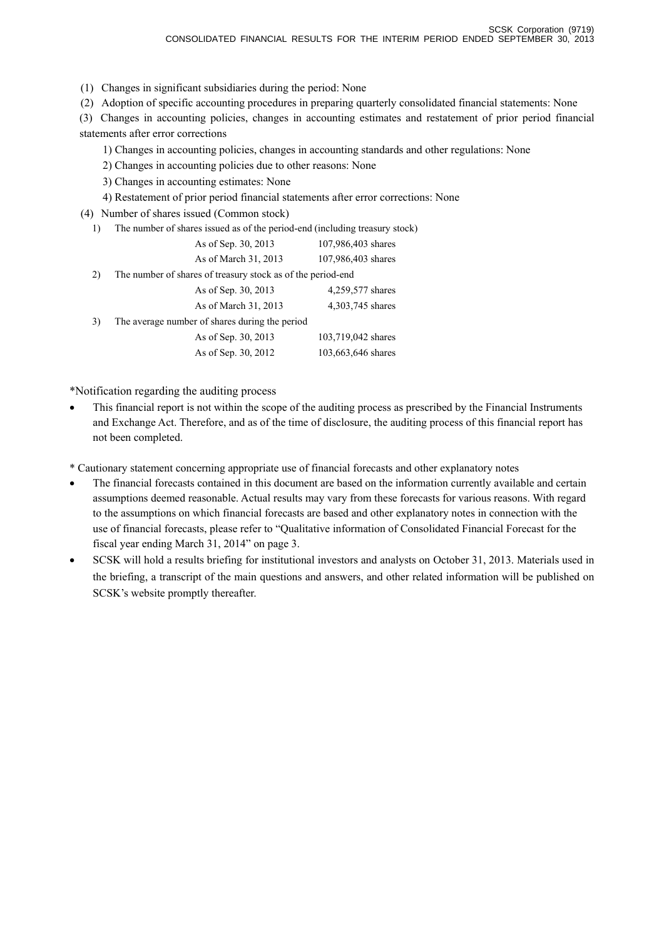(1) Changes in significant subsidiaries during the period: None

(2) Adoption of specific accounting procedures in preparing quarterly consolidated financial statements: None

(3) Changes in accounting policies, changes in accounting estimates and restatement of prior period financial statements after error corrections

1) Changes in accounting policies, changes in accounting standards and other regulations: None

2) Changes in accounting policies due to other reasons: None

3) Changes in accounting estimates: None

4) Restatement of prior period financial statements after error corrections: None

(4) Number of shares issued (Common stock)

1) The number of shares issued as of the period-end (including treasury stock)

|    | As of Sep. 30, 2013                                         | 107,986,403 shares |
|----|-------------------------------------------------------------|--------------------|
|    | As of March 31, 2013                                        | 107,986,403 shares |
| 2) | The number of shares of treasury stock as of the period-end |                    |
|    | As of Sep. 30, 2013                                         | 4,259,577 shares   |
|    | As of March 31, 2013                                        | 4,303,745 shares   |
| 3) | The average number of shares during the period              |                    |
|    | As of Sep. 30, 2013                                         | 103,719,042 shares |
|    | As of Sep. 30, 2012                                         | 103,663,646 shares |

\*Notification regarding the auditing process

• This financial report is not within the scope of the auditing process as prescribed by the Financial Instruments and Exchange Act. Therefore, and as of the time of disclosure, the auditing process of this financial report has not been completed.

\* Cautionary statement concerning appropriate use of financial forecasts and other explanatory notes

- The financial forecasts contained in this document are based on the information currently available and certain assumptions deemed reasonable. Actual results may vary from these forecasts for various reasons. With regard to the assumptions on which financial forecasts are based and other explanatory notes in connection with the use of financial forecasts, please refer to "Qualitative information of Consolidated Financial Forecast for the fiscal year ending March 31, 2014" on page 3.
- SCSK will hold a results briefing for institutional investors and analysts on October 31, 2013. Materials used in the briefing, a transcript of the main questions and answers, and other related information will be published on SCSK's website promptly thereafter.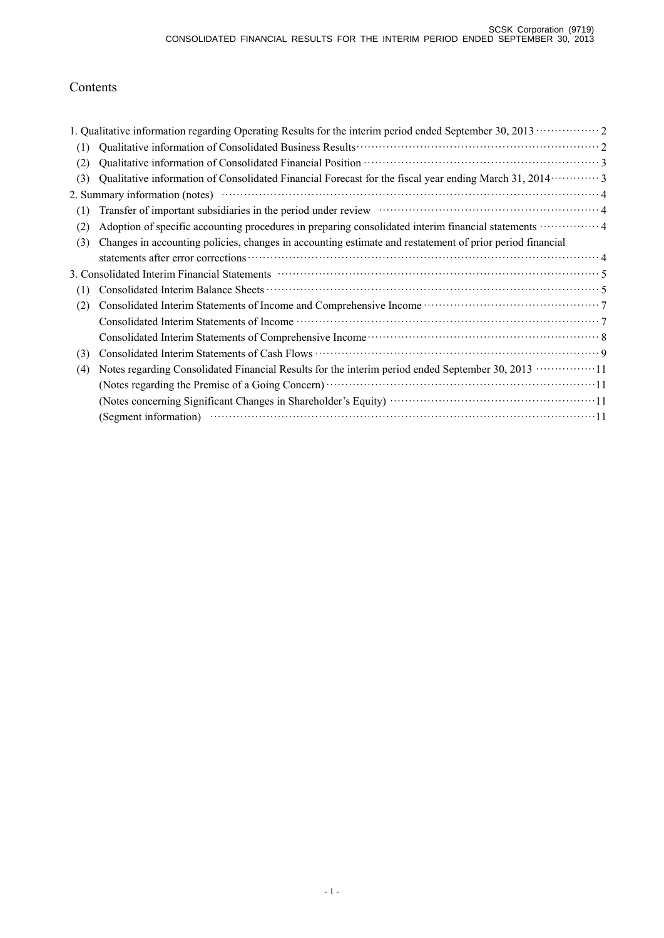# Contents

|     | 1. Qualitative information regarding Operating Results for the interim period ended September 30, 2013 ··············· 2                                                                                                   |  |
|-----|----------------------------------------------------------------------------------------------------------------------------------------------------------------------------------------------------------------------------|--|
| (1) |                                                                                                                                                                                                                            |  |
| (2) |                                                                                                                                                                                                                            |  |
| (3) | Qualitative information of Consolidated Financial Forecast for the fiscal year ending March 31, 2014 ············· 3                                                                                                       |  |
|     |                                                                                                                                                                                                                            |  |
| (1) | Transfer of important subsidiaries in the period under review material contact and a 4                                                                                                                                     |  |
| (2) | Adoption of specific accounting procedures in preparing consolidated interim financial statements  4                                                                                                                       |  |
| (3) | Changes in accounting policies, changes in accounting estimate and restatement of prior period financial                                                                                                                   |  |
|     |                                                                                                                                                                                                                            |  |
|     | 3. Consolidated Interim Financial Statements manufactured control of the Statements of Statements of Statements                                                                                                            |  |
| (1) |                                                                                                                                                                                                                            |  |
| (2) |                                                                                                                                                                                                                            |  |
|     |                                                                                                                                                                                                                            |  |
|     |                                                                                                                                                                                                                            |  |
| (3) |                                                                                                                                                                                                                            |  |
| (4) | Notes regarding Consolidated Financial Results for the interim period ended September 30, 2013 ·················11                                                                                                         |  |
|     | (Notes regarding the Premise of a Going Concern) manufactured and the Premise of a Going Concern) manufactured and a state of a Going Concern manufactured and a state of a Going Concern manufactured and a state of $11$ |  |
|     |                                                                                                                                                                                                                            |  |
|     |                                                                                                                                                                                                                            |  |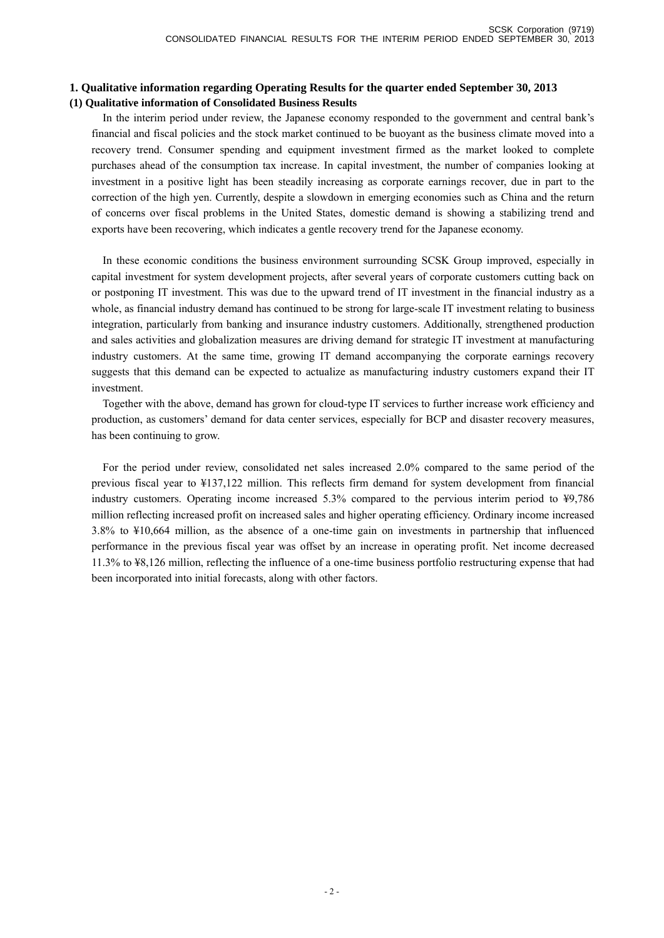## **1. Qualitative information regarding Operating Results for the quarter ended September 30, 2013 (1) Qualitative information of Consolidated Business Results**

In the interim period under review, the Japanese economy responded to the government and central bank's financial and fiscal policies and the stock market continued to be buoyant as the business climate moved into a recovery trend. Consumer spending and equipment investment firmed as the market looked to complete purchases ahead of the consumption tax increase. In capital investment, the number of companies looking at investment in a positive light has been steadily increasing as corporate earnings recover, due in part to the correction of the high yen. Currently, despite a slowdown in emerging economies such as China and the return of concerns over fiscal problems in the United States, domestic demand is showing a stabilizing trend and exports have been recovering, which indicates a gentle recovery trend for the Japanese economy.

In these economic conditions the business environment surrounding SCSK Group improved, especially in capital investment for system development projects, after several years of corporate customers cutting back on or postponing IT investment. This was due to the upward trend of IT investment in the financial industry as a whole, as financial industry demand has continued to be strong for large-scale IT investment relating to business integration, particularly from banking and insurance industry customers. Additionally, strengthened production and sales activities and globalization measures are driving demand for strategic IT investment at manufacturing industry customers. At the same time, growing IT demand accompanying the corporate earnings recovery suggests that this demand can be expected to actualize as manufacturing industry customers expand their IT investment.

Together with the above, demand has grown for cloud-type IT services to further increase work efficiency and production, as customers' demand for data center services, especially for BCP and disaster recovery measures, has been continuing to grow.

For the period under review, consolidated net sales increased 2.0% compared to the same period of the previous fiscal year to ¥137,122 million. This reflects firm demand for system development from financial industry customers. Operating income increased 5.3% compared to the pervious interim period to ¥9,786 million reflecting increased profit on increased sales and higher operating efficiency. Ordinary income increased 3.8% to ¥10,664 million, as the absence of a one-time gain on investments in partnership that influenced performance in the previous fiscal year was offset by an increase in operating profit. Net income decreased 11.3% to ¥8,126 million, reflecting the influence of a one-time business portfolio restructuring expense that had been incorporated into initial forecasts, along with other factors.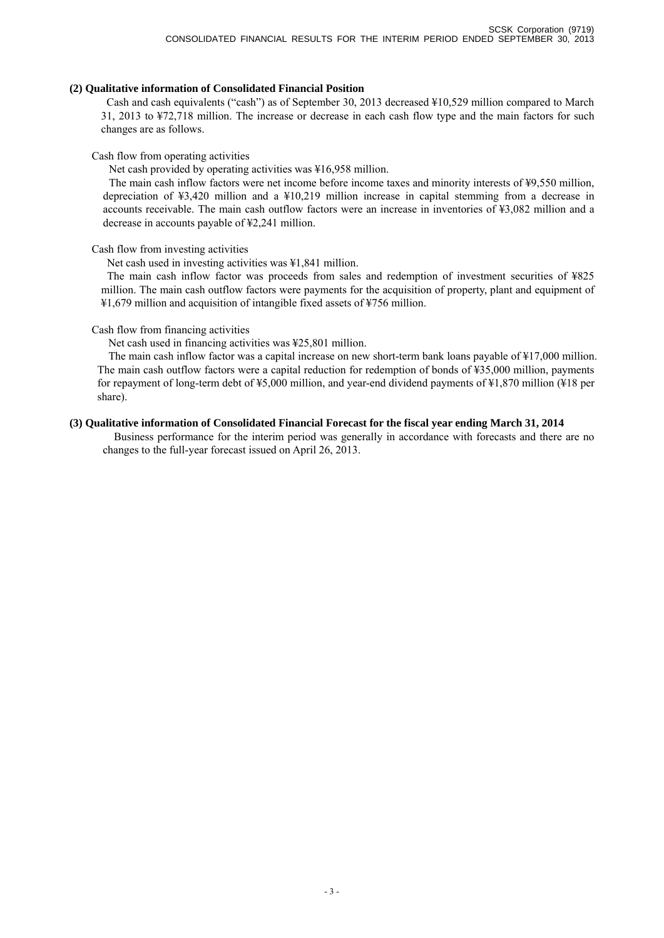#### **(2) Qualitative information of Consolidated Financial Position**

Cash and cash equivalents ("cash") as of September 30, 2013 decreased ¥10,529 million compared to March 31, 2013 to ¥72,718 million. The increase or decrease in each cash flow type and the main factors for such changes are as follows.

#### Cash flow from operating activities

Net cash provided by operating activities was ¥16,958 million.

The main cash inflow factors were net income before income taxes and minority interests of ¥9,550 million, depreciation of ¥3,420 million and a ¥10,219 million increase in capital stemming from a decrease in accounts receivable. The main cash outflow factors were an increase in inventories of ¥3,082 million and a decrease in accounts payable of ¥2,241 million.

## Cash flow from investing activities

Net cash used in investing activities was ¥1,841 million.

The main cash inflow factor was proceeds from sales and redemption of investment securities of ¥825 million. The main cash outflow factors were payments for the acquisition of property, plant and equipment of ¥1,679 million and acquisition of intangible fixed assets of ¥756 million.

## Cash flow from financing activities

Net cash used in financing activities was ¥25,801 million.

The main cash inflow factor was a capital increase on new short-term bank loans payable of ¥17,000 million. The main cash outflow factors were a capital reduction for redemption of bonds of ¥35,000 million, payments for repayment of long-term debt of ¥5,000 million, and year-end dividend payments of ¥1,870 million (¥18 per share).

## **(3) Qualitative information of Consolidated Financial Forecast for the fiscal year ending March 31, 2014**

Business performance for the interim period was generally in accordance with forecasts and there are no changes to the full-year forecast issued on April 26, 2013.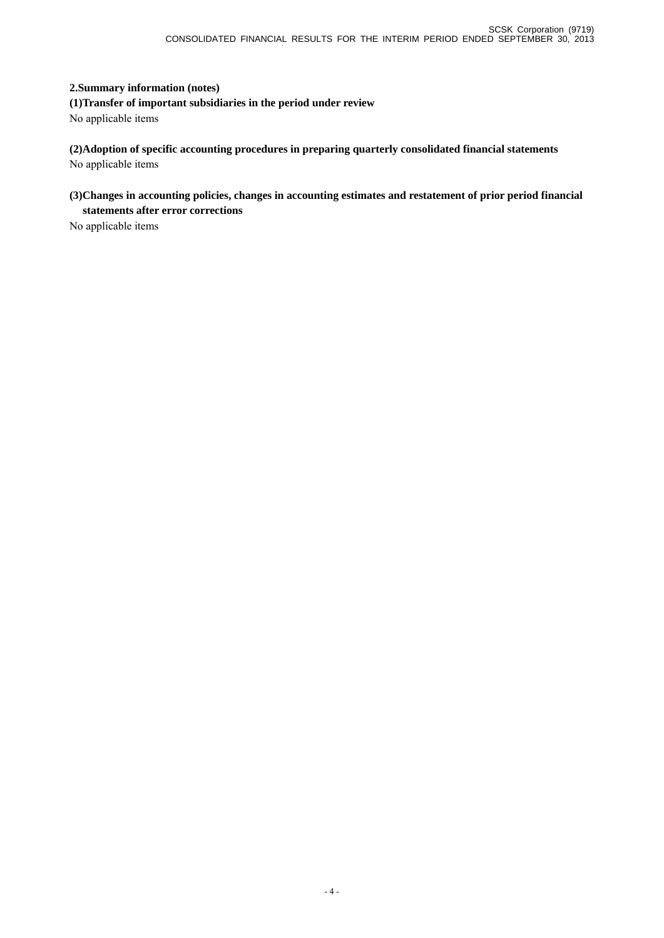## **2.Summary information (notes)**

**(1)Transfer of important subsidiaries in the period under review**  No applicable items

**(2)Adoption of specific accounting procedures in preparing quarterly consolidated financial statements**  No applicable items

## **(3)Changes in accounting policies, changes in accounting estimates and restatement of prior period financial statements after error corrections**

No applicable items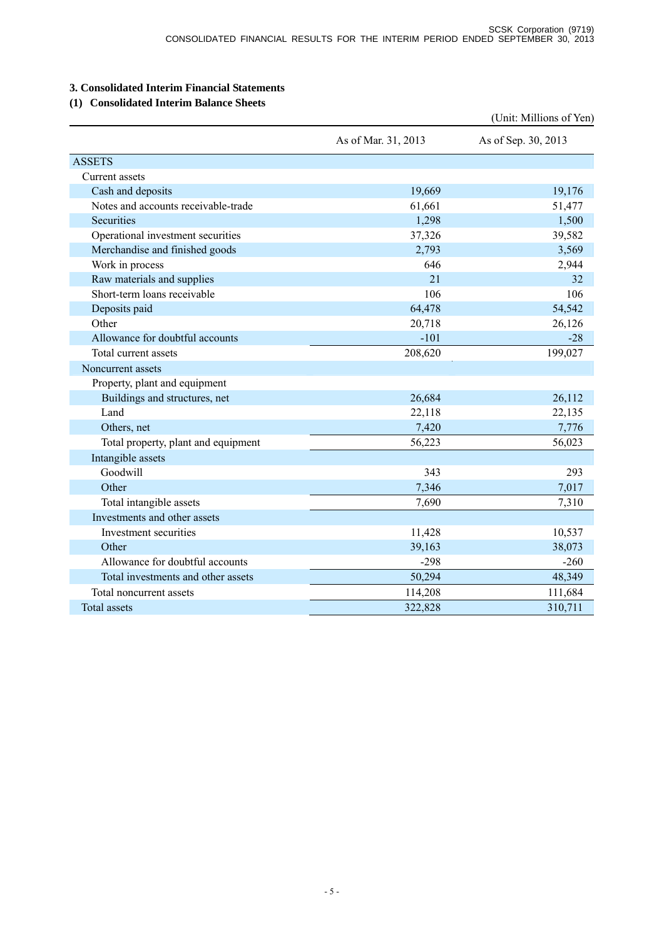## **3. Consolidated Interim Financial Statements**

## **(1) Consolidated Interim Balance Sheets**

|                                     |                     | (Unit: Millions of Yen) |
|-------------------------------------|---------------------|-------------------------|
|                                     | As of Mar. 31, 2013 | As of Sep. 30, 2013     |
| <b>ASSETS</b>                       |                     |                         |
| Current assets                      |                     |                         |
| Cash and deposits                   | 19,669              | 19,176                  |
| Notes and accounts receivable-trade | 61,661              | 51,477                  |
| Securities                          | 1,298               | 1,500                   |
| Operational investment securities   | 37,326              | 39,582                  |
| Merchandise and finished goods      | 2,793               | 3,569                   |
| Work in process                     | 646                 | 2,944                   |
| Raw materials and supplies          | 21                  | 32                      |
| Short-term loans receivable         | 106                 | 106                     |
| Deposits paid                       | 64,478              | 54,542                  |
| Other                               | 20,718              | 26,126                  |
| Allowance for doubtful accounts     | $-101$              | $-28$                   |
| Total current assets                | 208,620             | 199,027                 |
| Noncurrent assets                   |                     |                         |
| Property, plant and equipment       |                     |                         |
| Buildings and structures, net       | 26,684              | 26,112                  |
| Land                                | 22,118              | 22,135                  |
| Others, net                         | 7,420               | 7,776                   |
| Total property, plant and equipment | 56,223              | 56,023                  |
| Intangible assets                   |                     |                         |
| Goodwill                            | 343                 | 293                     |
| Other                               | 7,346               | 7,017                   |
| Total intangible assets             | 7,690               | 7,310                   |
| Investments and other assets        |                     |                         |
| Investment securities               | 11,428              | 10,537                  |
| Other                               | 39,163              | 38,073                  |
| Allowance for doubtful accounts     | $-298$              | $-260$                  |
| Total investments and other assets  | 50,294              | 48,349                  |
| Total noncurrent assets             | 114,208             | 111,684                 |
| <b>Total assets</b>                 | 322,828             | 310,711                 |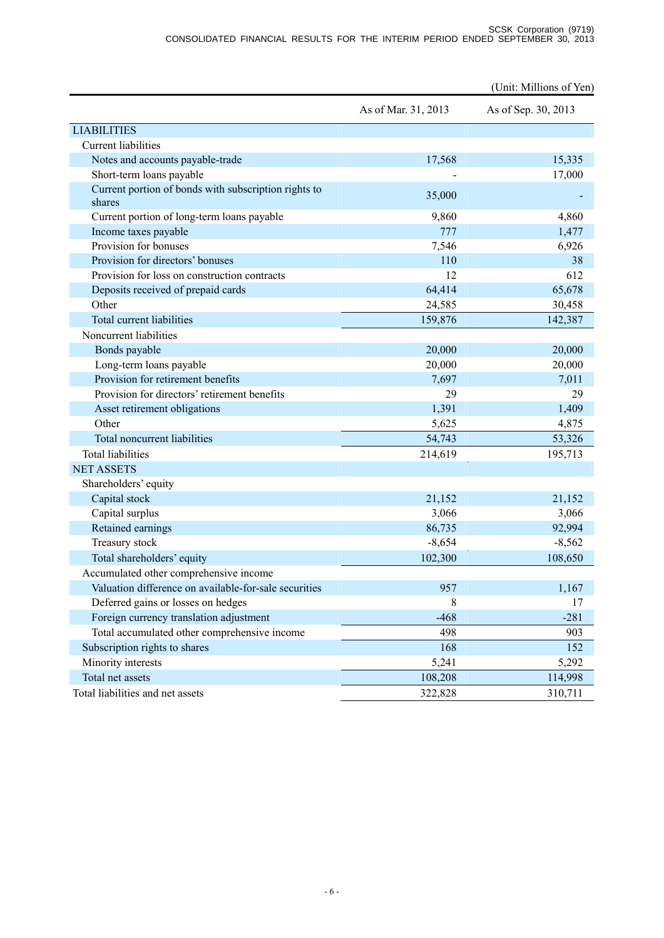|                                                                |                     | (Unit: Millions of Yen) |
|----------------------------------------------------------------|---------------------|-------------------------|
|                                                                | As of Mar. 31, 2013 | As of Sep. 30, 2013     |
| <b>LIABILITIES</b>                                             |                     |                         |
| <b>Current liabilities</b>                                     |                     |                         |
| Notes and accounts payable-trade                               | 17,568              | 15,335                  |
| Short-term loans payable                                       |                     | 17,000                  |
| Current portion of bonds with subscription rights to<br>shares | 35,000              |                         |
| Current portion of long-term loans payable                     | 9,860               | 4,860                   |
| Income taxes payable                                           | 777                 | 1,477                   |
| Provision for bonuses                                          | 7,546               | 6,926                   |
| Provision for directors' bonuses                               | 110                 | 38                      |
| Provision for loss on construction contracts                   | 12                  | 612                     |
| Deposits received of prepaid cards                             | 64,414              | 65,678                  |
| Other                                                          | 24,585              | 30,458                  |
| Total current liabilities                                      | 159,876             | 142,387                 |
| Noncurrent liabilities                                         |                     |                         |
| Bonds payable                                                  | 20,000              | 20,000                  |
| Long-term loans payable                                        | 20,000              | 20,000                  |
| Provision for retirement benefits                              | 7,697               | 7,011                   |
| Provision for directors' retirement benefits                   | 29                  | 29                      |
| Asset retirement obligations                                   | 1,391               | 1,409                   |
| Other                                                          | 5,625               | 4,875                   |
| Total noncurrent liabilities                                   | 54,743              | 53,326                  |
| <b>Total liabilities</b>                                       | 214,619             | 195,713                 |
| <b>NET ASSETS</b>                                              |                     |                         |
| Shareholders' equity                                           |                     |                         |
| Capital stock                                                  | 21,152              | 21,152                  |
| Capital surplus                                                | 3,066               | 3,066                   |
| Retained earnings                                              | 86,735              | 92,994                  |
| Treasury stock                                                 | $-8,654$            | $-8,562$                |
| Total shareholders' equity                                     | 102,300             | 108,650                 |
| Accumulated other comprehensive income                         |                     |                         |
| Valuation difference on available-for-sale securities          | 957                 | 1,167                   |
| Deferred gains or losses on hedges                             | 8                   | 17                      |
| Foreign currency translation adjustment                        | $-468$              | $-281$                  |
| Total accumulated other comprehensive income                   | 498                 | 903                     |
| Subscription rights to shares                                  | 168                 | 152                     |
| Minority interests                                             | 5,241               | 5,292                   |
| Total net assets                                               | 108,208             | 114,998                 |
| Total liabilities and net assets                               | 322,828             | 310,711                 |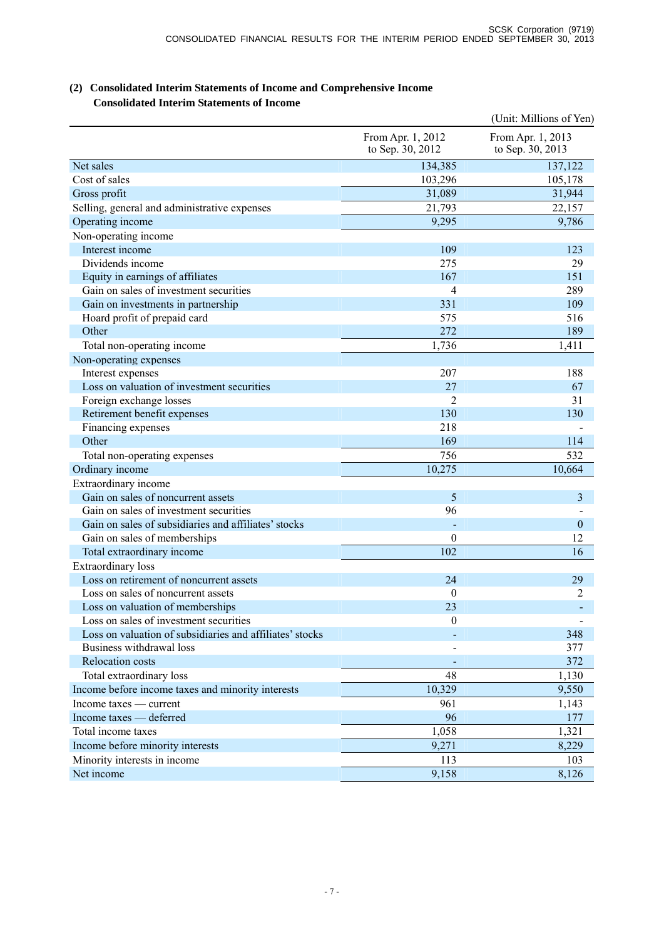## (Unit: Millions of Yen) From Apr. 1, 2012 to Sep. 30, 2012 From Apr. 1, 2013 to Sep. 30, 2013 Net sales 137,122  $\csc 103,296$  105,178 Gross profit 31,089 31,944 Selling, general and administrative expenses 21,793 22,157 Operating income 9,295 9,786 Non-operating income Interest income 109 123 Dividends income 275 29 Equity in earnings of affiliates 167 151 Gain on sales of investment securities 4 289 Gain on investments in partnership 331 109 Hoard profit of prepaid card 575 516 Other  $272$  189 Total non-operating income 1,736 1,411 Non-operating expenses Interest expenses 207 188 Loss on valuation of investment securities 27 67 Foreign exchange losses 2 31 Retirement benefit expenses 130 130 Financing expenses 218 -Other 169 114 Total non-operating expenses 756 756 532 Ordinary income  $10.275$  10,664 Extraordinary income Gain on sales of noncurrent assets 5 3 Gain on sales of investment securities **96** - **96** Gain on sales of subsidiaries and affiliates' stocks and a contract the contract of the contract of the contract of the contract of the contract of the contract of the contract of the contract of the contract of the contra Gain on sales of memberships  $\hspace{1.5cm}0 \hspace{1.5cm}12$ Total extraordinary income 16 and 102 16 and 102 16 and 102 16 and 16 and 16 and 16 and 16 and 16 and 16 and 16 and 16 and 16 and 16 and 16 and 16 and 16 and 16 and 16 and 16 and 16 and 16 and 16 and 16 and 16 and 16 and 1 Extraordinary loss Loss on retirement of noncurrent assets 24 29 Loss on sales of noncurrent assets 0 2 Loss on valuation of memberships 23 and 23 and 23 and 24 and 25 and 25 and 25 and 25 and 25 and 25 and 25 and 25 and 25 and 25 and 25 and 25 and 25 and 25 and 25 and 25 and 25 and 25 and 25 and 25 and 25 and 25 and 25 and Loss on sales of investment securities 0 -Loss on valuation of subsidiaries and affiliates' stocks  $\sim$  348 Business withdrawal loss and the state of the state of the state of the state of the state of the state of the state of the state of the state of the state of the state of the state of the state of the state of the state o Relocation costs 372 Total extraordinary loss and the set of the set of the set of the set of the set of the set of the set of the set of the set of the set of the set of the set of the set of the set of the set of the set of the set of the se Income before income taxes and minority interests 10,329 9,550 Income taxes — current  $961$  1,143 Income taxes — deferred 177 Total income taxes 1,058 1,321 Income before minority interests 8,229 Minority interests in income 113 103 Net income  $9,158$  8,126

## **(2) Consolidated Interim Statements of Income and Comprehensive Income Consolidated Interim Statements of Income**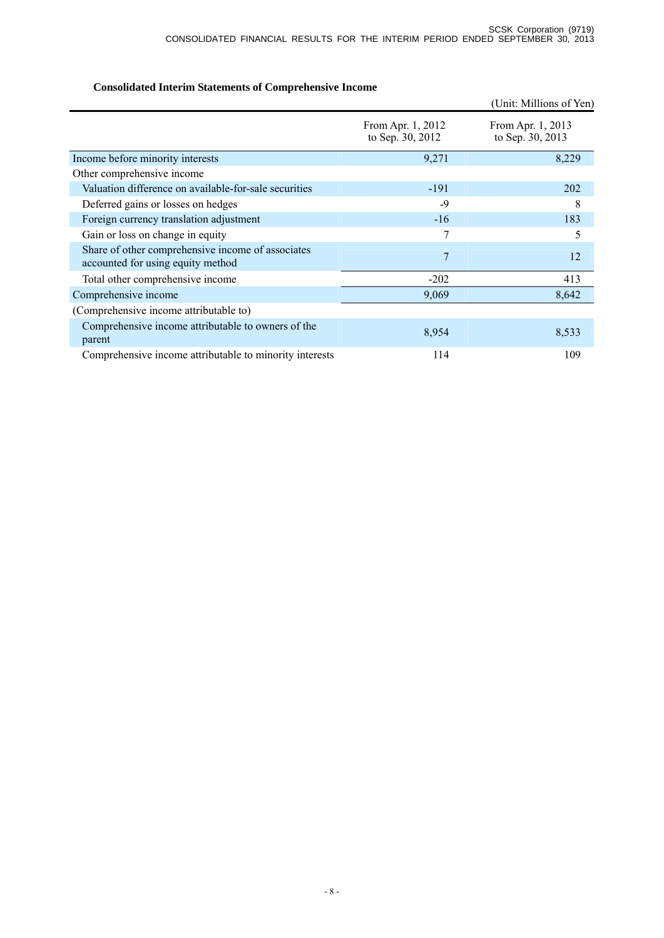# **Consolidated Interim Statements of Comprehensive Income**

|                                                                                        |                                       | (Unit: Millions of Yen)               |
|----------------------------------------------------------------------------------------|---------------------------------------|---------------------------------------|
|                                                                                        | From Apr. 1, 2012<br>to Sep. 30, 2012 | From Apr. 1, 2013<br>to Sep. 30, 2013 |
| Income before minority interests                                                       | 9,271                                 | 8,229                                 |
| Other comprehensive income                                                             |                                       |                                       |
| Valuation difference on available-for-sale securities                                  | $-191$                                | 202                                   |
| Deferred gains or losses on hedges                                                     | $-9$                                  | 8                                     |
| Foreign currency translation adjustment                                                | $-16$                                 | 183                                   |
| Gain or loss on change in equity                                                       | 7                                     | 5                                     |
| Share of other comprehensive income of associates<br>accounted for using equity method | 7                                     | 12                                    |
| Total other comprehensive income                                                       | $-202$                                | 413                                   |
| Comprehensive income                                                                   | 9,069                                 | 8,642                                 |
| (Comprehensive income attributable to)                                                 |                                       |                                       |
| Comprehensive income attributable to owners of the<br>parent                           | 8,954                                 | 8,533                                 |
| Comprehensive income attributable to minority interests                                | 114                                   | 109                                   |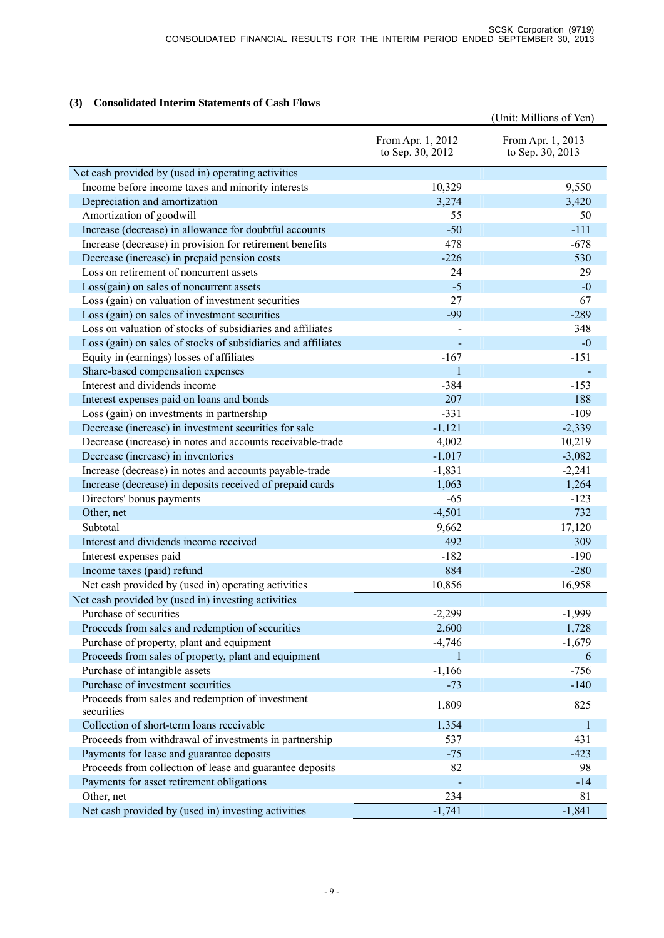## **(3) Consolidated Interim Statements of Cash Flows**

|                                                                |                                       | (Unit: Millions of Yen)               |
|----------------------------------------------------------------|---------------------------------------|---------------------------------------|
|                                                                | From Apr. 1, 2012<br>to Sep. 30, 2012 | From Apr. 1, 2013<br>to Sep. 30, 2013 |
| Net cash provided by (used in) operating activities            |                                       |                                       |
| Income before income taxes and minority interests              | 10,329                                | 9,550                                 |
| Depreciation and amortization                                  | 3,274                                 | 3,420                                 |
| Amortization of goodwill                                       | 55                                    | 50                                    |
| Increase (decrease) in allowance for doubtful accounts         | $-50$                                 | $-111$                                |
| Increase (decrease) in provision for retirement benefits       | 478                                   | $-678$                                |
| Decrease (increase) in prepaid pension costs                   | $-226$                                | 530                                   |
| Loss on retirement of noncurrent assets                        | 24                                    | 29                                    |
| Loss(gain) on sales of noncurrent assets                       | $-5$                                  | $-0$                                  |
| Loss (gain) on valuation of investment securities              | 27                                    | 67                                    |
| Loss (gain) on sales of investment securities                  | $-99$                                 | $-289$                                |
| Loss on valuation of stocks of subsidiaries and affiliates     |                                       | 348                                   |
| Loss (gain) on sales of stocks of subsidiaries and affiliates  |                                       | $-0$                                  |
| Equity in (earnings) losses of affiliates                      | $-167$                                | $-151$                                |
| Share-based compensation expenses                              | $\mathbf{1}$                          |                                       |
| Interest and dividends income                                  | $-384$                                | $-153$                                |
| Interest expenses paid on loans and bonds                      | 207                                   | 188                                   |
| Loss (gain) on investments in partnership                      | $-331$                                | $-109$                                |
| Decrease (increase) in investment securities for sale          | $-1,121$                              | $-2,339$                              |
| Decrease (increase) in notes and accounts receivable-trade     | 4,002                                 | 10,219                                |
| Decrease (increase) in inventories                             | $-1,017$                              | $-3,082$                              |
| Increase (decrease) in notes and accounts payable-trade        | $-1,831$                              | $-2,241$                              |
| Increase (decrease) in deposits received of prepaid cards      | 1,063                                 | 1,264                                 |
| Directors' bonus payments                                      | $-65$                                 | $-123$                                |
| Other, net                                                     | $-4,501$                              | 732                                   |
| Subtotal                                                       | 9,662                                 | 17,120                                |
| Interest and dividends income received                         | 492                                   | 309                                   |
| Interest expenses paid                                         | $-182$                                | $-190$                                |
| Income taxes (paid) refund                                     | 884                                   | $-280$                                |
| Net cash provided by (used in) operating activities            | 10,856                                | 16,958                                |
| Net cash provided by (used in) investing activities            |                                       |                                       |
| Purchase of securities                                         | $-2,299$                              | $-1,999$                              |
| Proceeds from sales and redemption of securities               | 2,600                                 | 1,728                                 |
| Purchase of property, plant and equipment                      | $-4,746$                              | $-1,679$                              |
| Proceeds from sales of property, plant and equipment           | 1                                     | 6                                     |
| Purchase of intangible assets                                  | $-1,166$                              | $-756$                                |
| Purchase of investment securities                              | $-73$                                 | $-140$                                |
| Proceeds from sales and redemption of investment<br>securities | 1,809                                 | 825                                   |
| Collection of short-term loans receivable                      | 1,354                                 | $\mathbf{1}$                          |
| Proceeds from withdrawal of investments in partnership         | 537                                   | 431                                   |
| Payments for lease and guarantee deposits                      | $-75$                                 | $-423$                                |
| Proceeds from collection of lease and guarantee deposits       | 82                                    | 98                                    |
| Payments for asset retirement obligations                      |                                       | $-14$                                 |
| Other, net                                                     | 234                                   | 81                                    |
| Net cash provided by (used in) investing activities            | $-1,741$                              | $-1,841$                              |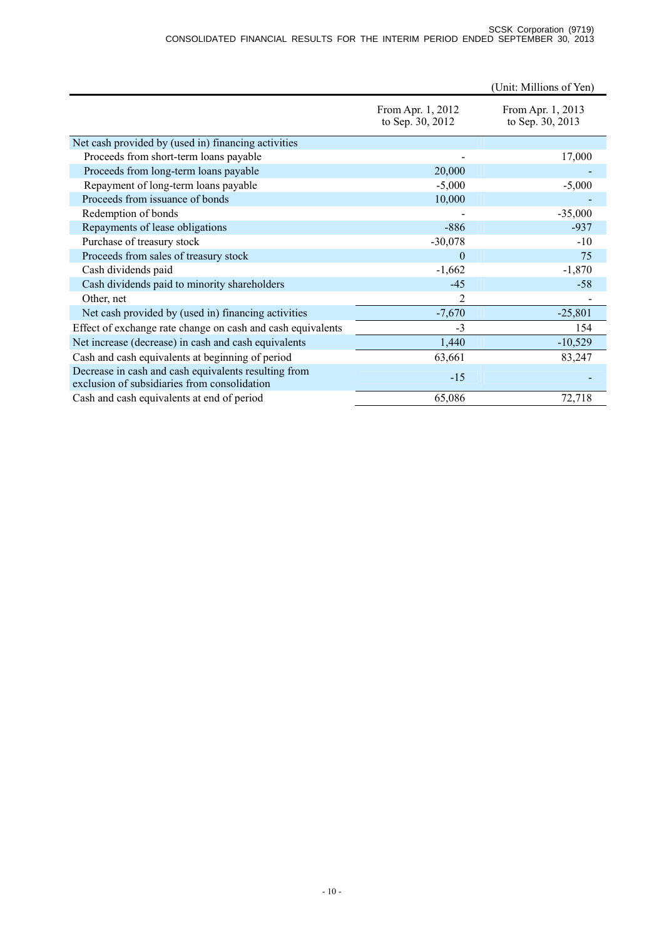|                                                                                                      |                                       | (Unit: Millions of Yen)               |
|------------------------------------------------------------------------------------------------------|---------------------------------------|---------------------------------------|
|                                                                                                      | From Apr. 1, 2012<br>to Sep. 30, 2012 | From Apr. 1, 2013<br>to Sep. 30, 2013 |
| Net cash provided by (used in) financing activities                                                  |                                       |                                       |
| Proceeds from short-term loans payable                                                               |                                       | 17,000                                |
| Proceeds from long-term loans payable                                                                | 20,000                                |                                       |
| Repayment of long-term loans payable                                                                 | $-5,000$                              | $-5,000$                              |
| Proceeds from issuance of bonds                                                                      | 10,000                                |                                       |
| Redemption of bonds                                                                                  |                                       | $-35,000$                             |
| Repayments of lease obligations                                                                      | $-886$                                | $-937$                                |
| Purchase of treasury stock                                                                           | $-30,078$                             | $-10$                                 |
| Proceeds from sales of treasury stock                                                                | $\theta$                              | 75                                    |
| Cash dividends paid                                                                                  | $-1,662$                              | $-1,870$                              |
| Cash dividends paid to minority shareholders                                                         | $-45$                                 | $-58$                                 |
| Other, net                                                                                           | 2                                     |                                       |
| Net cash provided by (used in) financing activities                                                  | $-7,670$                              | $-25,801$                             |
| Effect of exchange rate change on cash and cash equivalents                                          | $-3$                                  | 154                                   |
| Net increase (decrease) in cash and cash equivalents                                                 | 1,440                                 | $-10,529$                             |
| Cash and cash equivalents at beginning of period                                                     | 63,661                                | 83,247                                |
| Decrease in cash and cash equivalents resulting from<br>exclusion of subsidiaries from consolidation | $-15$                                 |                                       |
| Cash and cash equivalents at end of period                                                           | 65,086                                | 72,718                                |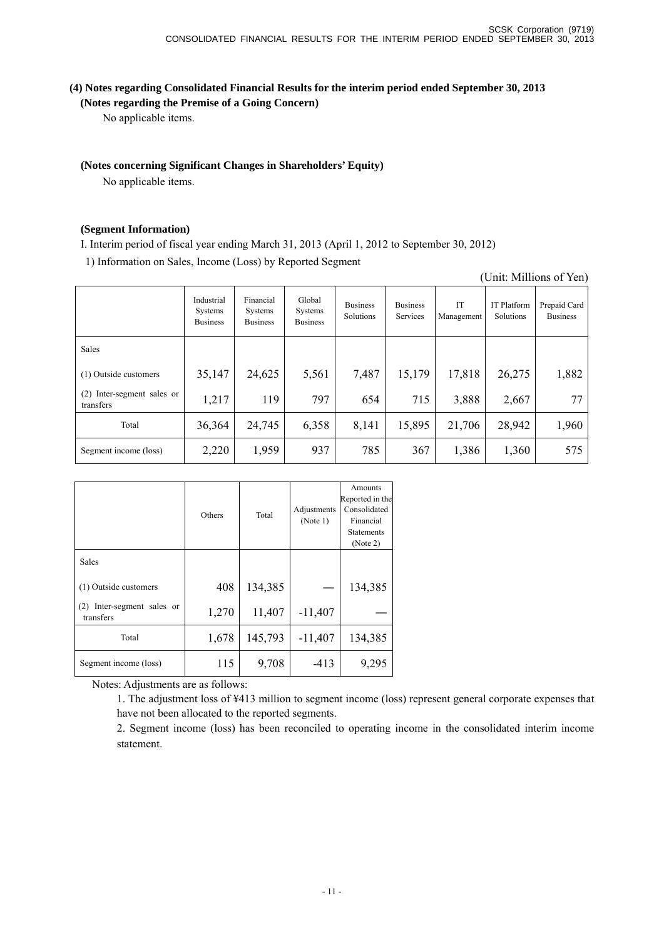(Unit: Millions of Yen)

## **(4) Notes regarding Consolidated Financial Results for the interim period ended September 30, 2013 (Notes regarding the Premise of a Going Concern)**

No applicable items.

## **(Notes concerning Significant Changes in Shareholders' Equity)**

No applicable items.

#### **(Segment Information)**

I. Interim period of fiscal year ending March 31, 2013 (April 1, 2012 to September 30, 2012)

1) Information on Sales, Income (Loss) by Reported Segment

|                                         | Industrial<br>Systems<br><b>Business</b> | Financial<br>Systems<br><b>Business</b> | Global<br>Systems<br><b>Business</b> | <b>Business</b><br>Solutions | <b>Business</b><br>Services | IT<br>Management | <b>IT Platform</b><br>Solutions | Prepaid Card<br><b>Business</b> |
|-----------------------------------------|------------------------------------------|-----------------------------------------|--------------------------------------|------------------------------|-----------------------------|------------------|---------------------------------|---------------------------------|
| <b>Sales</b>                            |                                          |                                         |                                      |                              |                             |                  |                                 |                                 |
| (1) Outside customers                   | 35,147                                   | 24,625                                  | 5,561                                | 7,487                        | 15,179                      | 17,818           | 26,275                          | 1,882                           |
| (2) Inter-segment sales or<br>transfers | 1,217                                    | 119                                     | 797                                  | 654                          | 715                         | 3,888            | 2,667                           | 77                              |
| Total                                   | 36,364                                   | 24,745                                  | 6,358                                | 8,141                        | 15,895                      | 21,706           | 28,942                          | 1,960                           |
| Segment income (loss)                   | 2,220                                    | 1,959                                   | 937                                  | 785                          | 367                         | 1,386            | 1,360                           | 575                             |

|                                            |        |          |             | Amounts           |
|--------------------------------------------|--------|----------|-------------|-------------------|
|                                            |        |          |             | Reported in the   |
|                                            | Others | Total    | Adjustments | Consolidated      |
|                                            |        | (Note 1) |             | Financial         |
|                                            |        |          |             | <b>Statements</b> |
|                                            |        |          |             | (Note 2)          |
| <b>Sales</b>                               |        |          |             |                   |
| (1) Outside customers                      | 408    | 134,385  |             | 134,385           |
| Inter-segment sales or<br>(2)<br>transfers | 1,270  | 11,407   | $-11,407$   |                   |
| Total                                      | 1,678  | 145,793  | $-11,407$   | 134,385           |
| Segment income (loss)                      | 115    | 9,708    | $-413$      | 9,295             |

Notes: Adjustments are as follows:

1. The adjustment loss of ¥413 million to segment income (loss) represent general corporate expenses that have not been allocated to the reported segments.

2. Segment income (loss) has been reconciled to operating income in the consolidated interim income statement.